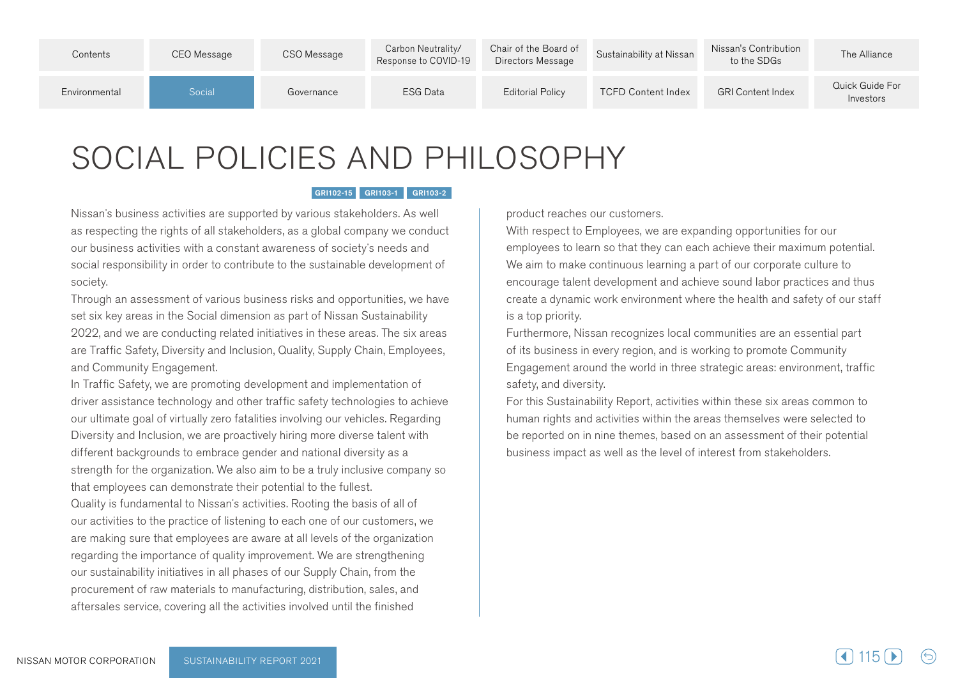| Contents      | CEO Message | CSO Message | Carbon Neutrality/<br>Response to COVID-19 | Chair of the Board of<br>Directors Message | Sustainability at Nissan  | Nissan's Contribution<br>to the SDGs | The Alliance                 |
|---------------|-------------|-------------|--------------------------------------------|--------------------------------------------|---------------------------|--------------------------------------|------------------------------|
| Environmental | Social      | Governance  | ESG Data                                   | <b>Editorial Policy</b>                    | <b>TCFD Content Index</b> | <b>GRI Content Index</b>             | Quick Guide For<br>Investors |

## SOCIAL POLICIES AND PHILOSOPHY

## GRI102-15 GRI103-1 GRI103-2

Nissan's business activities are supported by various stakeholders. As well as respecting the rights of all stakeholders, as a global company we conduct our business activities with a constant awareness of society's needs and social responsibility in order to contribute to the sustainable development of society.

Through an assessment of various business risks and opportunities, we have set six key areas in the Social dimension as part of Nissan Sustainability 2022, and we are conducting related initiatives in these areas. The six areas are Traffic Safety, Diversity and Inclusion, Quality, Supply Chain, Employees, and Community Engagement.

In Traffic Safety, we are promoting development and implementation of driver assistance technology and other traffic safety technologies to achieve our ultimate goal of virtually zero fatalities involving our vehicles. Regarding Diversity and Inclusion, we are proactively hiring more diverse talent with different backgrounds to embrace gender and national diversity as a strength for the organization. We also aim to be a truly inclusive company so that employees can demonstrate their potential to the fullest.

Quality is fundamental to Nissan's activities. Rooting the basis of all of our activities to the practice of listening to each one of our customers, we are making sure that employees are aware at all levels of the organization regarding the importance of quality improvement. We are strengthening our sustainability initiatives in all phases of our Supply Chain, from the procurement of raw materials to manufacturing, distribution, sales, and aftersales service, covering all the activities involved until the finished

product reaches our customers.

With respect to Employees, we are expanding opportunities for our employees to learn so that they can each achieve their maximum potential. We aim to make continuous learning a part of our corporate culture to encourage talent development and achieve sound labor practices and thus create a dynamic work environment where the health and safety of our staff is a top priority.

Furthermore, Nissan recognizes local communities are an essential part of its business in every region, and is working to promote Community Engagement around the world in three strategic areas: environment, traffic safety, and diversity.

For this Sustainability Report, activities within these six areas common to human rights and activities within the areas themselves were selected to be reported on in nine themes, based on an assessment of their potential business impact as well as the level of interest from stakeholders.